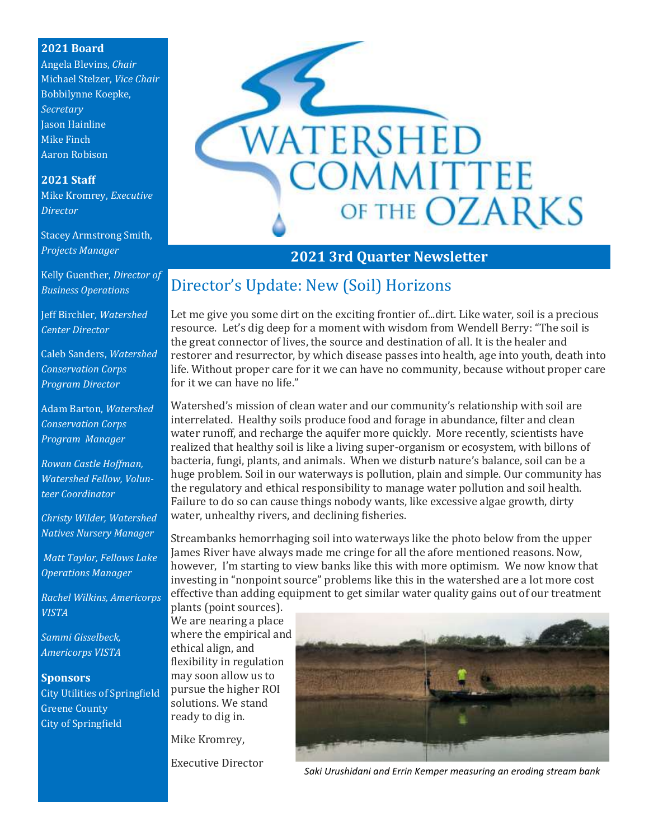#### **2021 Board**

Angela Blevins, *Chair* Michael Stelzer, *Vice Chair* Bobbilynne Koepke, *Secretary* Jason Hainline Mike Finch Aaron Robison

#### **2021 Staff**

Mike Kromrey, *Executive Director*

Stacey Armstrong Smith, *Projects Manager*

Kelly Guenther, *Director of Business Operations*

Jeff Birchler*, Watershed Center Director*

Caleb Sanders, *Watershed Conservation Corps Program Director*

Adam Barton, *Watershed Conservation Corps Program Manager*

*Rowan Castle Hoffman, Watershed Fellow, Volunteer Coordinator*

*Christy Wilder, Watershed Natives Nursery Manager*

*Matt Taylor, Fellows Lake Operations Manager*

*Rachel Wilkins, Americorps VISTA*

*Sammi Gisselbeck, Americorps VISTA*

#### **Sponsors**

City Utilities of Springfield Greene County City of Springfield



## **2021 3rd Quarter Newsletter**

## Director's Update: New (Soil) Horizons

Let me give you some dirt on the exciting frontier of...dirt. Like water, soil is a precious resource. Let's dig deep for a moment with wisdom from Wendell Berry: "The soil is the great connector of lives, the source and destination of all. It is the healer and restorer and resurrector, by which disease passes into health, age into youth, death into life. Without proper care for it we can have no community, because without proper care for it we can have no life."

Watershed's mission of clean water and our community's relationship with soil are interrelated. Healthy soils produce food and forage in abundance, filter and clean water runoff, and recharge the aquifer more quickly. More recently, scientists have realized that healthy soil is like a living super-organism or ecosystem, with billons of bacteria, fungi, plants, and animals. When we disturb nature's balance, soil can be a huge problem. Soil in our waterways is pollution, plain and simple. Our community has the regulatory and ethical responsibility to manage water pollution and soil health. Failure to do so can cause things nobody wants, like excessive algae growth, dirty water, unhealthy rivers, and declining fisheries.

Streambanks hemorrhaging soil into waterways like the photo below from the upper James River have always made me cringe for all the afore mentioned reasons. Now, however, I'm starting to view banks like this with more optimism. We now know that investing in "nonpoint source" problems like this in the watershed are a lot more cost effective than adding equipment to get similar water quality gains out of our treatment

plants (point sources). We are nearing a place where the empirical and ethical align, and flexibility in regulation may soon allow us to pursue the higher ROI solutions. We stand ready to dig in.

Mike Kromrey,

Executive Director



*Saki Urushidani and Errin Kemper measuring an eroding stream bank*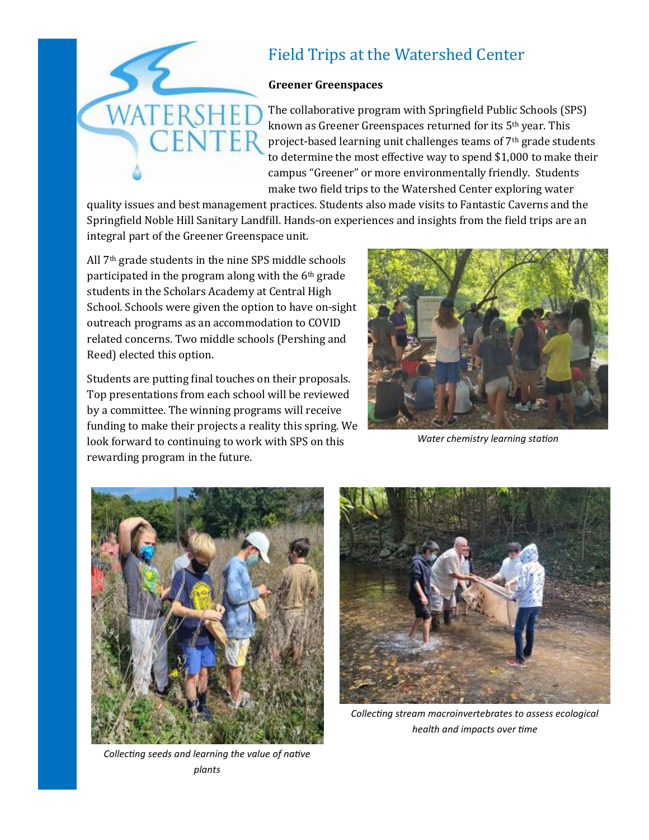

# Field Trips at the Watershed Center

#### **Greener Greenspaces**

The collaborative program with Springfield Public Schools (SPS) known as Greener Greenspaces returned for its 5th year. This project-based learning unit challenges teams of 7th grade students to determine the most effective way to spend \$1,000 to make their campus "Greener" or more environmentally friendly. Students make two field trips to the Watershed Center exploring water

quality issues and best management practices. Students also made visits to Fantastic Caverns and the Springfield Noble Hill Sanitary Landfill. Hands-on experiences and insights from the field trips are an integral part of the Greener Greenspace unit.

All 7th grade students in the nine SPS middle schools participated in the program along with the 6th grade students in the Scholars Academy at Central High School. Schools were given the option to have on-sight outreach programs as an accommodation to COVID related concerns. Two middle schools (Pershing and Reed) elected this option.

Students are putting final touches on their proposals. Top presentations from each school will be reviewed by a committee. The winning programs will receive funding to make their projects a reality this spring. We look forward to continuing to work with SPS on this rewarding program in the future.



*Water chemistry learning station*



*Collecting seeds and learning the value of native plants*



*Collecting stream macroinvertebrates to assess ecological health and impacts over time*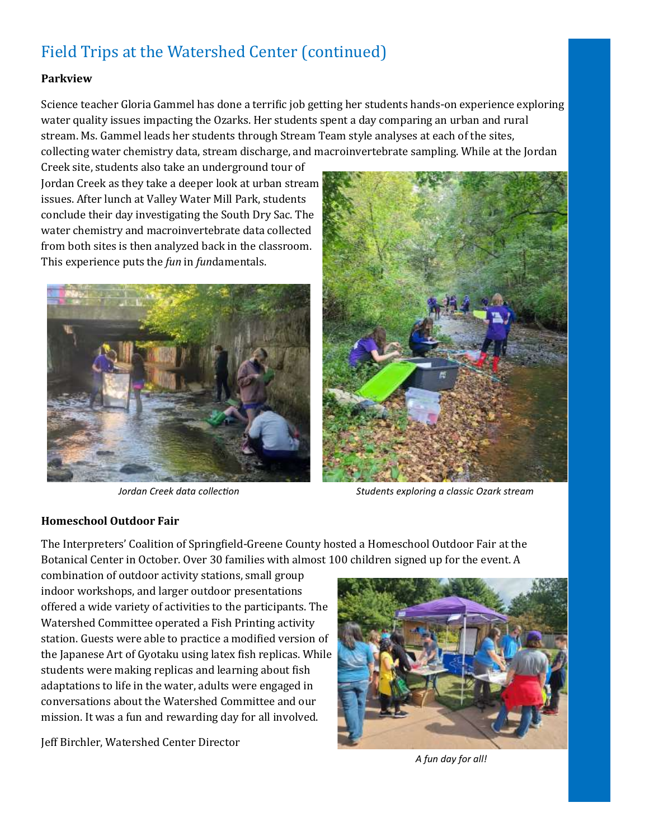# Field Trips at the Watershed Center (continued)

#### **Parkview**

Science teacher Gloria Gammel has done a terrific job getting her students hands-on experience exploring water quality issues impacting the Ozarks. Her students spent a day comparing an urban and rural stream. Ms. Gammel leads her students through Stream Team style analyses at each of the sites, collecting water chemistry data, stream discharge, and macroinvertebrate sampling. While at the Jordan

Creek site, students also take an underground tour of Jordan Creek as they take a deeper look at urban stream issues. After lunch at Valley Water Mill Park, students conclude their day investigating the South Dry Sac. The water chemistry and macroinvertebrate data collected from both sites is then analyzed back in the classroom. This experience puts the *fun* in *fun*damentals.





*Jordan Creek data collection Students exploring a classic Ozark stream*

#### **Homeschool Outdoor Fair**

The Interpreters' Coalition of Springfield-Greene County hosted a Homeschool Outdoor Fair at the Botanical Center in October. Over 30 families with almost 100 children signed up for the event. A

combination of outdoor activity stations, small group indoor workshops, and larger outdoor presentations offered a wide variety of activities to the participants. The Watershed Committee operated a Fish Printing activity station. Guests were able to practice a modified version of the Japanese Art of Gyotaku using latex fish replicas. While students were making replicas and learning about fish adaptations to life in the water, adults were engaged in conversations about the Watershed Committee and our mission. It was a fun and rewarding day for all involved.

Jeff Birchler, Watershed Center Director



*A fun day for all!*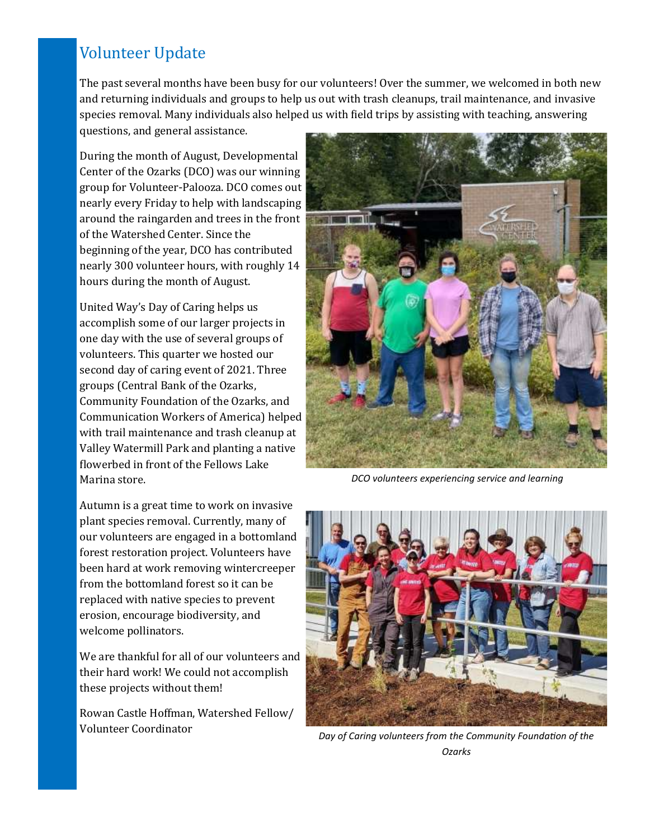# Volunteer Update

The past several months have been busy for our volunteers! Over the summer, we welcomed in both new and returning individuals and groups to help us out with trash cleanups, trail maintenance, and invasive species removal. Many individuals also helped us with field trips by assisting with teaching, answering questions, and general assistance.

During the month of August, Developmental Center of the Ozarks (DCO) was our winning group for Volunteer-Palooza. DCO comes out nearly every Friday to help with landscaping around the raingarden and trees in the front of the Watershed Center. Since the beginning of the year, DCO has contributed nearly 300 volunteer hours, with roughly 14 hours during the month of August.

United Way's Day of Caring helps us accomplish some of our larger projects in one day with the use of several groups of volunteers. This quarter we hosted our second day of caring event of 2021. Three groups (Central Bank of the Ozarks, Community Foundation of the Ozarks, and Communication Workers of America) helped with trail maintenance and trash cleanup at Valley Watermill Park and planting a native flowerbed in front of the Fellows Lake Marina store.

Autumn is a great time to work on invasive plant species removal. Currently, many of our volunteers are engaged in a bottomland forest restoration project. Volunteers have been hard at work removing wintercreeper from the bottomland forest so it can be replaced with native species to prevent erosion, encourage biodiversity, and welcome pollinators.

We are thankful for all of our volunteers and their hard work! We could not accomplish these projects without them!

Rowan Castle Hoffman, Watershed Fellow/ Volunteer Coordinator



*DCO volunteers experiencing service and learning*



*Day of Caring volunteers from the Community Foundation of the Ozarks*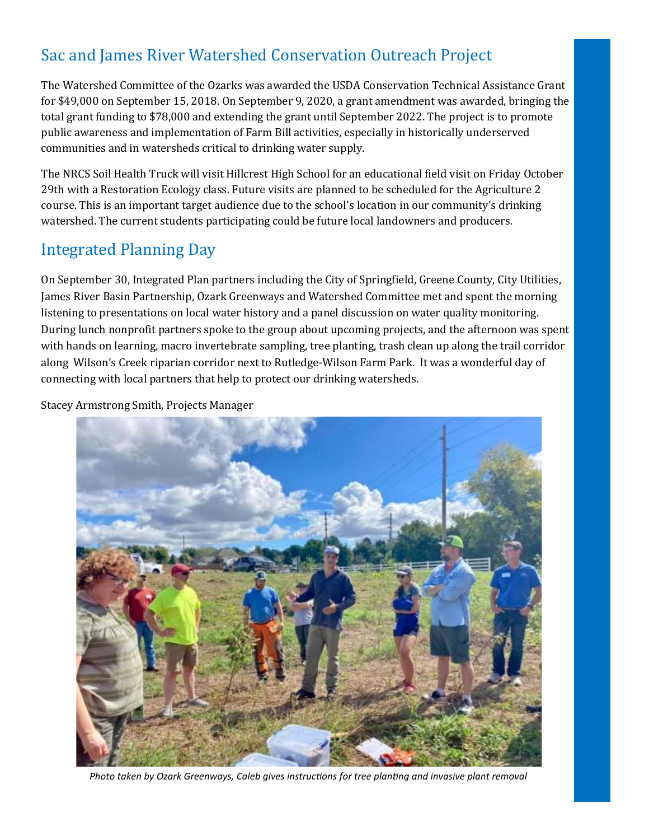# Sac and James River Watershed Conservation Outreach Project

The Watershed Committee of the Ozarks was awarded the USDA Conservation Technical Assistance Grant for \$49,000 on September 15, 2018. On September 9, 2020, a grant amendment was awarded, bringing the total grant funding to \$78,000 and extending the grant until September 2022. The project is to promote public awareness and implementation of Farm Bill activities, especially in historically underserved communities and in watersheds critical to drinking water supply.

The NRCS Soil Health Truck will visit Hillcrest High School for an educational field visit on Friday October 29th with a Restoration Ecology class. Future visits are planned to be scheduled for the Agriculture 2 course. This is an important target audience due to the school's location in our community's drinking watershed. The current students participating could be future local landowners and producers.

## Integrated Planning Day

On September 30, Integrated Plan partners including the City of Springfield, Greene County, City Utilities, James River Basin Partnership, Ozark Greenways and Watershed Committee met and spent the morning listening to presentations on local water history and a panel discussion on water quality monitoring. During lunch nonprofit partners spoke to the group about upcoming projects, and the afternoon was spent with hands on learning, macro invertebrate sampling, tree planting, trash clean up along the trail corridor along Wilson's Creek riparian corridor next to Rutledge-Wilson Farm Park. It was a wonderful day of connecting with local partners that help to protect our drinking watersheds.

Stacey Armstrong Smith, Projects Manager



*Photo taken by Ozark Greenways, Caleb gives instructions for tree planting and invasive plant removal*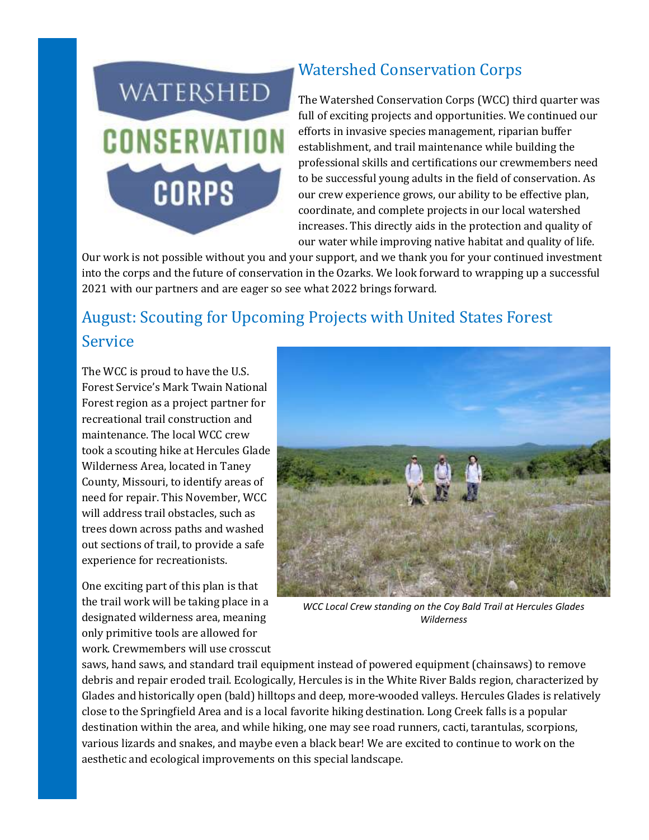

## Watershed Conservation Corps

The Watershed Conservation Corps (WCC) third quarter was full of exciting projects and opportunities. We continued our efforts in invasive species management, riparian buffer establishment, and trail maintenance while building the professional skills and certifications our crewmembers need to be successful young adults in the field of conservation. As our crew experience grows, our ability to be effective plan, coordinate, and complete projects in our local watershed increases. This directly aids in the protection and quality of our water while improving native habitat and quality of life.

Our work is not possible without you and your support, and we thank you for your continued investment into the corps and the future of conservation in the Ozarks. We look forward to wrapping up a successful 2021 with our partners and are eager so see what 2022 brings forward.

# August: Scouting for Upcoming Projects with United States Forest Service

The WCC is proud to have the U.S. Forest Service's Mark Twain National Forest region as a project partner for recreational trail construction and maintenance. The local WCC crew took a scouting hike at Hercules Glade Wilderness Area, located in Taney County, Missouri, to identify areas of need for repair. This November, WCC will address trail obstacles, such as trees down across paths and washed out sections of trail, to provide a safe experience for recreationists.

One exciting part of this plan is that the trail work will be taking place in a designated wilderness area, meaning only primitive tools are allowed for work. Crewmembers will use crosscut



*WCC Local Crew standing on the Coy Bald Trail at Hercules Glades Wilderness*

saws, hand saws, and standard trail equipment instead of powered equipment (chainsaws) to remove debris and repair eroded trail. Ecologically, Hercules is in the White River Balds region, characterized by Glades and historically open (bald) hilltops and deep, more-wooded valleys. Hercules Glades is relatively close to the Springfield Area and is a local favorite hiking destination. Long Creek falls is a popular destination within the area, and while hiking, one may see road runners, cacti, tarantulas, scorpions, various lizards and snakes, and maybe even a black bear! We are excited to continue to work on the aesthetic and ecological improvements on this special landscape.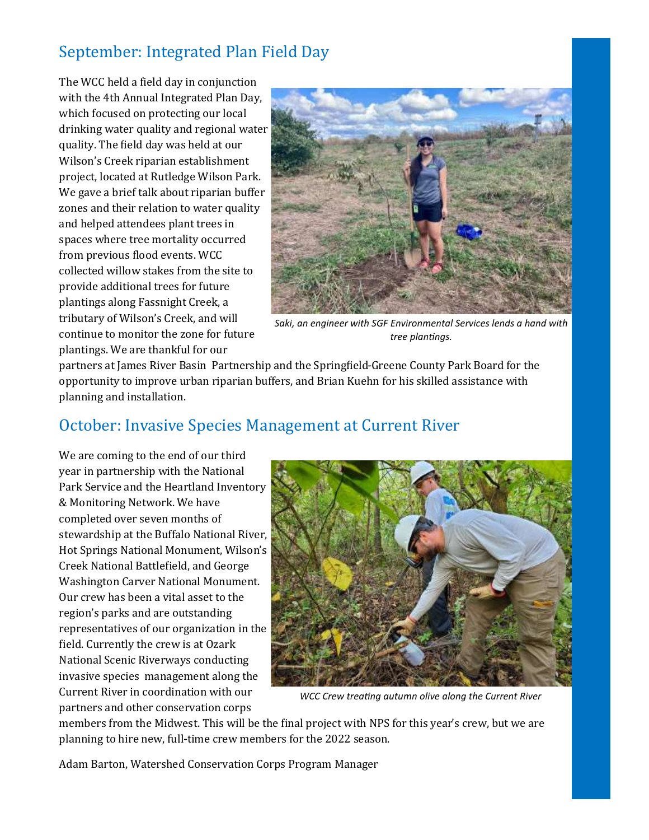# September: Integrated Plan Field Day

The WCC held a field day in conjunction with the 4th Annual Integrated Plan Day, which focused on protecting our local drinking water quality and regional water quality. The field day was held at our Wilson's Creek riparian establishment project, located at Rutledge Wilson Park. We gave a brief talk about riparian buffer zones and their relation to water quality and helped attendees plant trees in spaces where tree mortality occurred from previous flood events. WCC collected willow stakes from the site to provide additional trees for future plantings along Fassnight Creek, a tributary of Wilson's Creek, and will continue to monitor the zone for future plantings. We are thankful for our



*Saki, an engineer with SGF Environmental Services lends a hand with tree plantings.*

partners at James River Basin Partnership and the Springfield-Greene County Park Board for the opportunity to improve urban riparian buffers, and Brian Kuehn for his skilled assistance with planning and installation.

## October: Invasive Species Management at Current River

We are coming to the end of our third year in partnership with the National Park Service and the Heartland Inventory & Monitoring Network. We have completed over seven months of stewardship at the Buffalo National River, Hot Springs National Monument, Wilson's Creek National Battlefield, and George Washington Carver National Monument. Our crew has been a vital asset to the region's parks and are outstanding representatives of our organization in the field. Currently the crew is at Ozark National Scenic Riverways conducting invasive species management along the Current River in coordination with our partners and other conservation corps



*WCC Crew treating autumn olive along the Current River*

members from the Midwest. This will be the final project with NPS for this year's crew, but we are planning to hire new, full-time crew members for the 2022 season.

Adam Barton, Watershed Conservation Corps Program Manager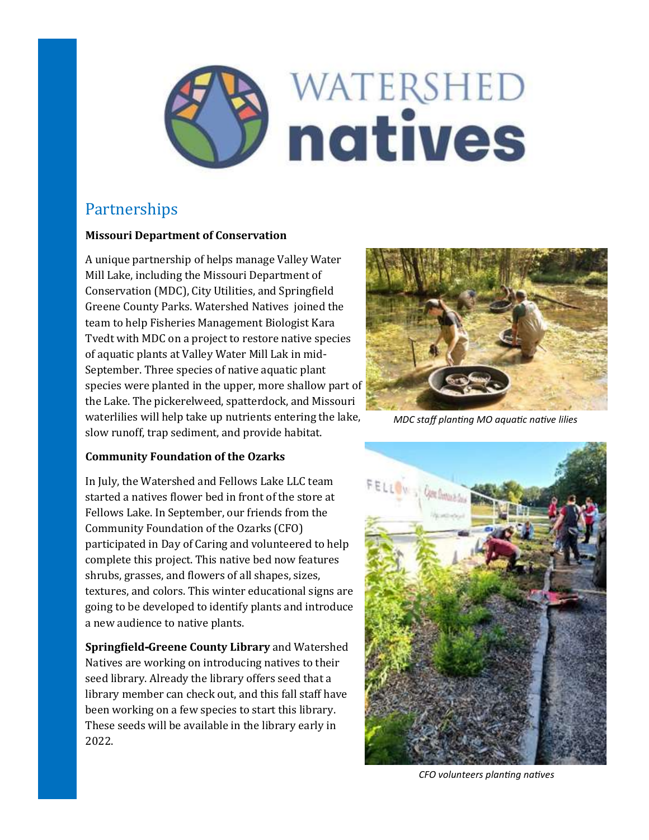

## Partnerships

#### **Missouri Department of Conservation**

A unique partnership of helps manage Valley Water Mill Lake, including the Missouri Department of Conservation (MDC), City Utilities, and Springfield Greene County Parks. Watershed Natives joined the team to help Fisheries Management Biologist Kara Tvedt with MDC on a project to restore native species of aquatic plants at Valley Water Mill Lak in mid-September. Three species of native aquatic plant species were planted in the upper, more shallow part of the Lake. The pickerelweed, spatterdock, and Missouri waterlilies will help take up nutrients entering the lake, slow runoff, trap sediment, and provide habitat.



*MDC staff planting MO aquatic native lilies* 

#### **Community Foundation of the Ozarks**

In July, the Watershed and Fellows Lake LLC team started a natives flower bed in front of the store at Fellows Lake. In September, our friends from the Community Foundation of the Ozarks (CFO) participated in Day of Caring and volunteered to help complete this project. This native bed now features shrubs, grasses, and flowers of all shapes, sizes, textures, and colors. This winter educational signs are going to be developed to identify plants and introduce a new audience to native plants.

**Springfield-Greene County Library** and Watershed Natives are working on introducing natives to their seed library. Already the library offers seed that a library member can check out, and this fall staff have been working on a few species to start this library. These seeds will be available in the library early in 2022.



*CFO volunteers planting natives*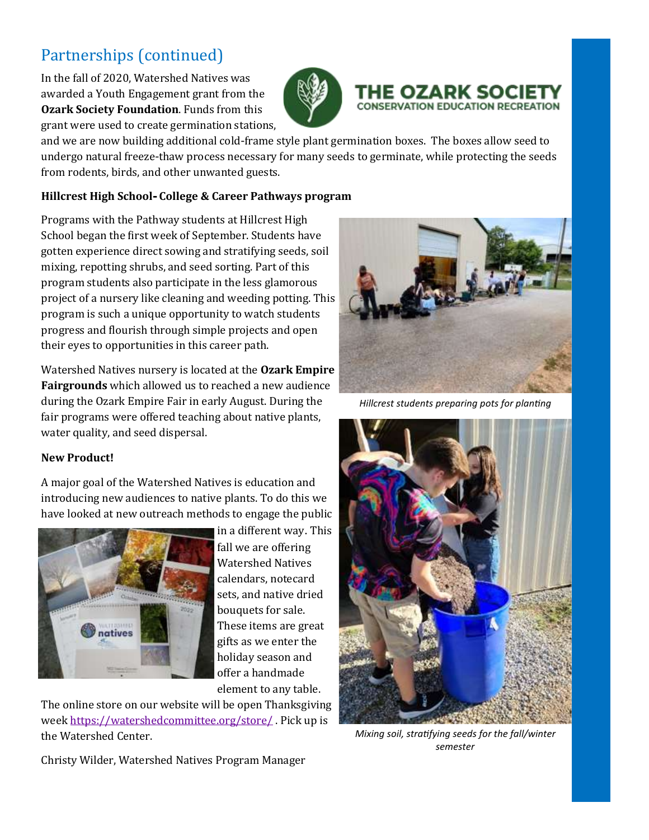# Partnerships (continued)

In the fall of 2020, Watershed Natives was awarded a Youth Engagement grant from the **Ozark Society Foundation**. Funds from this grant were used to create germination stations,



# THE OZARK SOC **CONSERVATION EDUCATION RECREATION**

and we are now building additional cold-frame style plant germination boxes. The boxes allow seed to undergo natural freeze-thaw process necessary for many seeds to germinate, while protecting the seeds from rodents, birds, and other unwanted guests.

### **Hillcrest High School- College & Career Pathways program**

Programs with the Pathway students at Hillcrest High School began the first week of September. Students have gotten experience direct sowing and stratifying seeds, soil mixing, repotting shrubs, and seed sorting. Part of this program students also participate in the less glamorous project of a nursery like cleaning and weeding potting. This program is such a unique opportunity to watch students progress and flourish through simple projects and open their eyes to opportunities in this career path.

Watershed Natives nursery is located at the **Ozark Empire Fairgrounds** which allowed us to reached a new audience during the Ozark Empire Fair in early August. During the fair programs were offered teaching about native plants, water quality, and seed dispersal.

#### **New Product!**

A major goal of the Watershed Natives is education and introducing new audiences to native plants. To do this we have looked at new outreach methods to engage the public



in a different way. This fall we are offering Watershed Natives calendars, notecard sets, and native dried bouquets for sale. These items are great gifts as we enter the holiday season and offer a handmade element to any table.

The online store on our website will be open Thanksgiving week<https://watershedcommittee.org/store/> . Pick up is the Watershed Center.



*Hillcrest students preparing pots for planting*



*Mixing soil, stratifying seeds for the fall/winter semester*

Christy Wilder, Watershed Natives Program Manager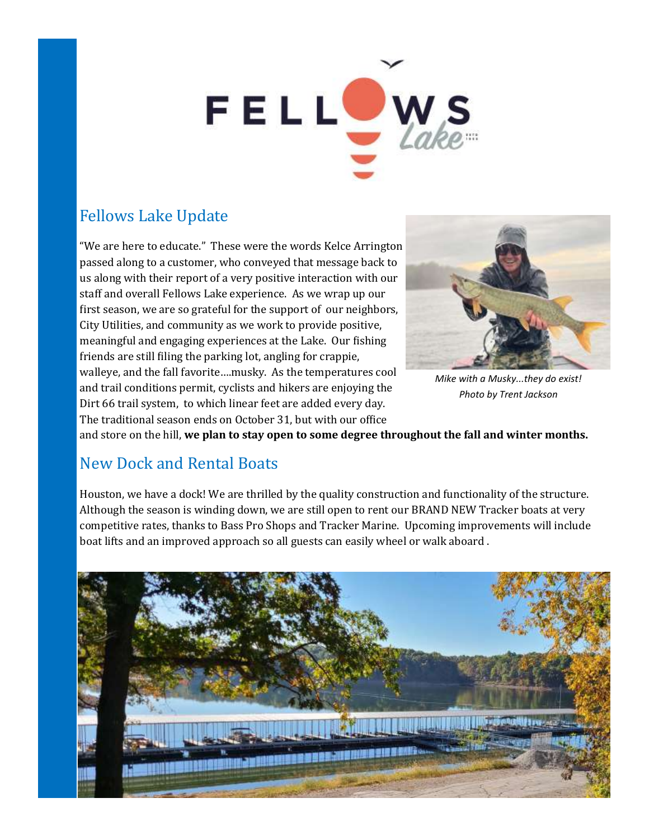# FELLOW

# Fellows Lake Update

"We are here to educate." These were the words Kelce Arrington passed along to a customer, who conveyed that message back to us along with their report of a very positive interaction with our staff and overall Fellows Lake experience. As we wrap up our first season, we are so grateful for the support of our neighbors, City Utilities, and community as we work to provide positive, meaningful and engaging experiences at the Lake. Our fishing friends are still filing the parking lot, angling for crappie, walleye, and the fall favorite….musky. As the temperatures cool and trail conditions permit, cyclists and hikers are enjoying the Dirt 66 trail system, to which linear feet are added every day. The traditional season ends on October 31, but with our office



*Mike with a Musky...they do exist! Photo by Trent Jackson*

and store on the hill, **we plan to stay open to some degree throughout the fall and winter months.**

## New Dock and Rental Boats

Houston, we have a dock! We are thrilled by the quality construction and functionality of the structure. Although the season is winding down, we are still open to rent our BRAND NEW Tracker boats at very competitive rates, thanks to Bass Pro Shops and Tracker Marine. Upcoming improvements will include boat lifts and an improved approach so all guests can easily wheel or walk aboard .

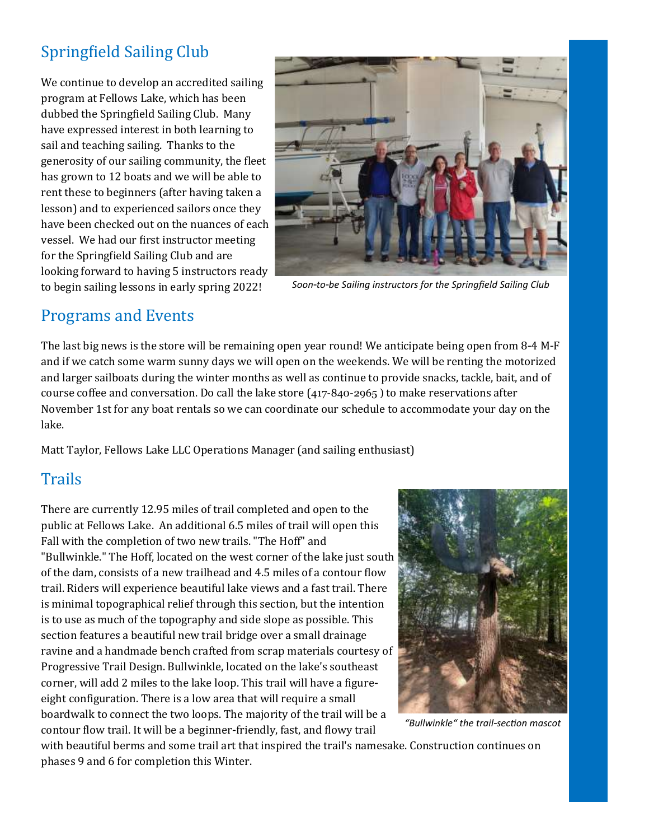# Springfield Sailing Club

We continue to develop an accredited sailing program at Fellows Lake, which has been dubbed the Springfield Sailing Club. Many have expressed interest in both learning to sail and teaching sailing. Thanks to the generosity of our sailing community, the fleet has grown to 12 boats and we will be able to rent these to beginners (after having taken a lesson) and to experienced sailors once they have been checked out on the nuances of each vessel. We had our first instructor meeting for the Springfield Sailing Club and are looking forward to having 5 instructors ready to begin sailing lessons in early spring 2022!



*Soon-to-be Sailing instructors for the Springfield Sailing Club*

## Programs and Events

The last big news is the store will be remaining open year round! We anticipate being open from 8-4 M-F and if we catch some warm sunny days we will open on the weekends. We will be renting the motorized and larger sailboats during the winter months as well as continue to provide snacks, tackle, bait, and of course coffee and conversation. Do call the lake store (417-840-2965 ) to make reservations after November 1st for any boat rentals so we can coordinate our schedule to accommodate your day on the lake.

Matt Taylor, Fellows Lake LLC Operations Manager (and sailing enthusiast)

## **Trails**

There are currently 12.95 miles of trail completed and open to the public at Fellows Lake. An additional 6.5 miles of trail will open this Fall with the completion of two new trails. "The Hoff" and "Bullwinkle." The Hoff, located on the west corner of the lake just south of the dam, consists of a new trailhead and 4.5 miles of a contour flow trail. Riders will experience beautiful lake views and a fast trail. There is minimal topographical relief through this section, but the intention is to use as much of the topography and side slope as possible. This section features a beautiful new trail bridge over a small drainage ravine and a handmade bench crafted from scrap materials courtesy of Progressive Trail Design. Bullwinkle, located on the lake's southeast corner, will add 2 miles to the lake loop. This trail will have a figureeight configuration. There is a low area that will require a small boardwalk to connect the two loops. The majority of the trail will be a contour flow trail. It will be a beginner-friendly, fast, and flowy trail



*"Bullwinkle" the trail-section mascot*

with beautiful berms and some trail art that inspired the trail's namesake. Construction continues on phases 9 and 6 for completion this Winter.